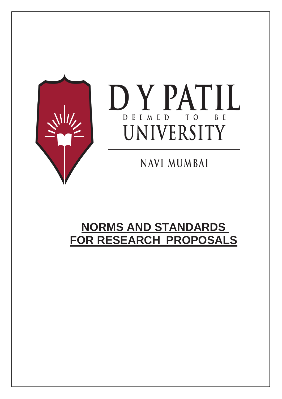



**NAVI MUMBAI** 

# **NORMS AND STANDARDS FOR RESEARCH PROPOSALS**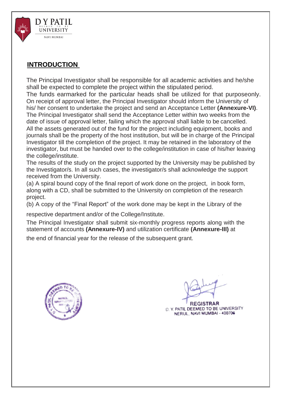

## **INTRODUCTION**

The Principal Investigator shall be responsible for all academic activities and he/she shall be expected to complete the project within the stipulated period.

The funds earmarked for the particular heads shall be utilized for that purposeonly. On receipt of approval letter, the Principal Investigator should inform the University of his/ her consent to undertake the project and send an Acceptance Letter **(Annexure-VI)**. The Principal Investigator shall send the Acceptance Letter within two weeks from the date of issue of approval letter, failing which the approval shall liable to be cancelled. All the assets generated out of the fund for the project including equipment, books and journals shall be the property of the host institution, but will be in charge of the Principal Investigator till the completion of the project. It may be retained in the laboratory of the investigator, but must be handed over to the college/institution in case of his/her leaving the college/institute.

The results of the study on the project supported by the University may be published by the Investigator/s. In all such cases, the investigator/s shall acknowledge the support received from the University.

(a) A spiral bound copy of the final report of work done on the project, in book form, along with a CD, shall be submitted to the University on completion of the research project.

(b) A copy of the "Final Report" of the work done may be kept in the Library of the

respective department and/or of the College/Institute.

The Principal Investigator shall submit six-monthly progress reports along with the statement of accounts **(Annexure-IV)** and utilization certificate **(Annexure-III)** at

the end of financial year for the release of the subsequent grant.



**REGISTRAR** D. Y. PATIL DEEMED TO BE UNIVERSITY NERUL, NAVI MUMBAI - 400706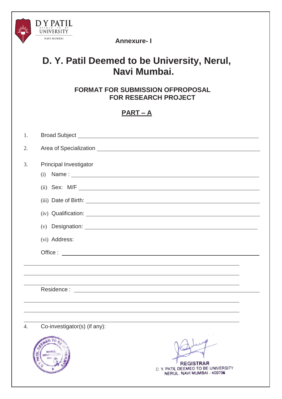|                  | <b>DY PATIL</b><br>$\overline{UNIVERSITY}$<br>NAVI MUMBAI<br><b>Annexure-I</b>                       |  |  |  |
|------------------|------------------------------------------------------------------------------------------------------|--|--|--|
|                  | D. Y. Patil Deemed to be University, Nerul,<br>Navi Mumbai.                                          |  |  |  |
|                  | <b>FORMAT FOR SUBMISSION OFPROPOSAL</b><br><b>FOR RESEARCH PROJECT</b>                               |  |  |  |
|                  | <u> PART – A</u>                                                                                     |  |  |  |
| 1.               | Broad Subject National Accounts and Accounts and Accounts and Accounts and Accounts and Accounts and |  |  |  |
| 2.               |                                                                                                      |  |  |  |
| 3.               | Principal Investigator                                                                               |  |  |  |
|                  |                                                                                                      |  |  |  |
|                  |                                                                                                      |  |  |  |
|                  | (iv) Qualification:                                                                                  |  |  |  |
|                  |                                                                                                      |  |  |  |
|                  | (vi) Address:                                                                                        |  |  |  |
|                  |                                                                                                      |  |  |  |
|                  |                                                                                                      |  |  |  |
|                  |                                                                                                      |  |  |  |
| $\overline{4}$ . | Co-investigator(s) (if any):                                                                         |  |  |  |
|                  | <b>REGISTRAR</b><br>D. Y. PATIL DEEMED TO BE UNIVERSITY<br>NERUL, NAVI MUMBAI - 400706               |  |  |  |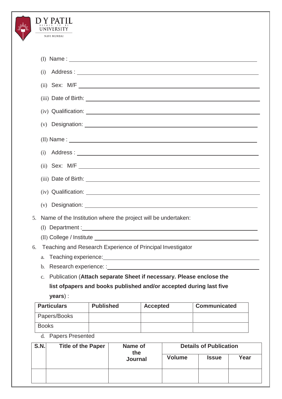| Y PATI.<br>UNIVERSITY<br>NAVI MUMBAI                                                                                                                                                                                                                                                                  |                  |                                  |                 |               |                                               |      |
|-------------------------------------------------------------------------------------------------------------------------------------------------------------------------------------------------------------------------------------------------------------------------------------------------------|------------------|----------------------------------|-----------------|---------------|-----------------------------------------------|------|
|                                                                                                                                                                                                                                                                                                       |                  |                                  |                 |               |                                               |      |
| $(i)$ Address: $\overline{\phantom{a}}$                                                                                                                                                                                                                                                               |                  |                                  |                 |               |                                               |      |
|                                                                                                                                                                                                                                                                                                       |                  |                                  |                 |               |                                               |      |
|                                                                                                                                                                                                                                                                                                       |                  |                                  |                 |               |                                               |      |
|                                                                                                                                                                                                                                                                                                       |                  |                                  |                 |               |                                               |      |
|                                                                                                                                                                                                                                                                                                       |                  |                                  |                 |               |                                               |      |
| (II) Name : $\frac{1}{2}$                                                                                                                                                                                                                                                                             |                  |                                  |                 |               |                                               |      |
|                                                                                                                                                                                                                                                                                                       |                  |                                  |                 |               |                                               |      |
| $(ii)$ Sex: M/F $\overline{\phantom{a}}$                                                                                                                                                                                                                                                              |                  |                                  |                 |               |                                               |      |
|                                                                                                                                                                                                                                                                                                       |                  |                                  |                 |               |                                               |      |
|                                                                                                                                                                                                                                                                                                       |                  |                                  |                 |               |                                               |      |
|                                                                                                                                                                                                                                                                                                       |                  |                                  |                 |               |                                               |      |
| $(v)$ Designation: $\frac{1}{2}$ Designation:                                                                                                                                                                                                                                                         |                  |                                  |                 |               |                                               |      |
| Name of the Institution where the project will be undertaken:<br>5.<br>(I) Department : will be a series of the contract of the contract of the contract of the contract of the contract of the contract of the contract of the contract of the contract of the contract of the contract of the contr |                  |                                  |                 |               |                                               |      |
| (II) College / Institute Late and the collection of the collection of the collection of the collection of the collection of the collection of the collection of the collection of the collection of the collection of the coll                                                                        |                  |                                  |                 |               |                                               |      |
| Teaching and Research Experience of Principal Investigator<br>6.                                                                                                                                                                                                                                      |                  |                                  |                 |               |                                               |      |
| a.                                                                                                                                                                                                                                                                                                    |                  |                                  |                 |               |                                               |      |
| $\mathbf{b}$ .                                                                                                                                                                                                                                                                                        |                  |                                  |                 |               |                                               |      |
| Publication (Attach separate Sheet if necessary. Please enclose the<br>$C_{\bullet}$                                                                                                                                                                                                                  |                  |                                  |                 |               |                                               |      |
| list ofpapers and books published and/or accepted during last five                                                                                                                                                                                                                                    |                  |                                  |                 |               |                                               |      |
| years):                                                                                                                                                                                                                                                                                               |                  |                                  |                 |               |                                               |      |
| <b>Particulars</b>                                                                                                                                                                                                                                                                                    | <b>Published</b> |                                  | <b>Accepted</b> |               | <b>Communicated</b>                           |      |
| Papers/Books                                                                                                                                                                                                                                                                                          |                  |                                  |                 |               |                                               |      |
| <b>Books</b>                                                                                                                                                                                                                                                                                          |                  |                                  |                 |               |                                               |      |
| d. Papers Presented                                                                                                                                                                                                                                                                                   |                  |                                  |                 |               |                                               |      |
| S.N.<br><b>Title of the Paper</b>                                                                                                                                                                                                                                                                     |                  | Name of<br>the<br><b>Journal</b> |                 | <b>Volume</b> | <b>Details of Publication</b><br><b>Issue</b> | Year |

 $\frac{\sum_{i=1}^{n} \left\vert f\right\vert ^{2}}{\left\vert f\right\vert ^{2}}$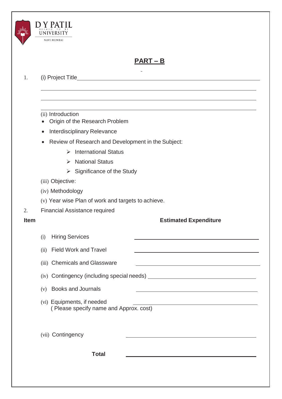|           | <u> PART – B</u>                                                                                                                                      |
|-----------|-------------------------------------------------------------------------------------------------------------------------------------------------------|
|           | (i) Project Title_________                                                                                                                            |
|           |                                                                                                                                                       |
|           | (ii) Introduction                                                                                                                                     |
|           | Origin of the Research Problem                                                                                                                        |
| $\bullet$ | <b>Interdisciplinary Relevance</b>                                                                                                                    |
| $\bullet$ | Review of Research and Development in the Subject:                                                                                                    |
|           | <b>International Status</b><br>➤                                                                                                                      |
|           | > National Status                                                                                                                                     |
|           | $\triangleright$ Significance of the Study                                                                                                            |
|           | (iii) Objective:<br>(iv) Methodology                                                                                                                  |
|           | (v) Year wise Plan of work and targets to achieve.                                                                                                    |
|           | <b>Financial Assistance required</b>                                                                                                                  |
|           | <b>Estimated Expenditure</b>                                                                                                                          |
| (i)       | <b>Hiring Services</b>                                                                                                                                |
| (ii)      | <b>Field Work and Travel</b><br><u> 1989 - Andrea Station Barbara, actor a component de la componentación de la componentación de la componentaci</u> |
|           | (iii) Chemicals and Glassware                                                                                                                         |
|           |                                                                                                                                                       |
| (v)       | <b>Books and Journals</b>                                                                                                                             |
|           | (vi) Equipments, if needed<br><u> 1989 - Johann Barn, amerikansk politiker (d. 1989)</u><br>(Please specify name and Approx. cost)                    |
|           |                                                                                                                                                       |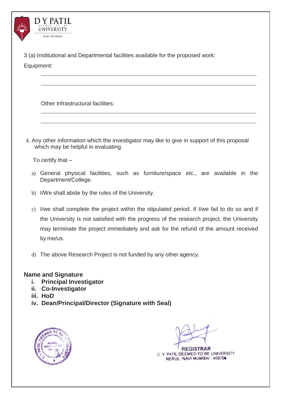

3 (a) Institutional and Departmental facilities available for the proposed work:

Equipment:

Other Infrastructural facilities:

4. Any other information which the investigator may like to give in support of this proposal which may be helpful in evaluating.

To certify that  $-$ 

- a) General physical facilities, such as furniture/space etc., are available in the Department/College.
- b) I/We shall abide by the rules of the University.
- c) I/we shall complete the project within the stipulated period. If I/we fail to do so and if the University is not satisfied with the progress of the research project, the University may terminate the project immediately and ask for the refund of the amount received by me/us.
- d) The above Research Project is not funded by any other agency.

## **Name and Signature**

- **i. Principal Investigator**
- **ii. Co-Investigator**
- **iii. HoD**
- **iv. Dean/Principal/Director (Signature with Seal)**



**REGISTRAR** D. Y. PATIL DEEMED TO BE UNIVERSITY NERUL, NAVI MUMBAI - 400706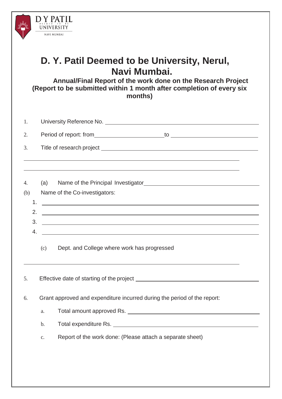| D. Y. Patil Deemed to be University, Nerul,<br>Navi Mumbai.<br>Annual/Final Report of the work done on the Research Project<br>(Report to be submitted within 1 month after completion of every six<br>months) |                |                                                                                                                                                                                                                                                                                     |  |  |
|----------------------------------------------------------------------------------------------------------------------------------------------------------------------------------------------------------------|----------------|-------------------------------------------------------------------------------------------------------------------------------------------------------------------------------------------------------------------------------------------------------------------------------------|--|--|
| 1.                                                                                                                                                                                                             |                |                                                                                                                                                                                                                                                                                     |  |  |
| 2.                                                                                                                                                                                                             |                |                                                                                                                                                                                                                                                                                     |  |  |
| 3.                                                                                                                                                                                                             |                |                                                                                                                                                                                                                                                                                     |  |  |
| $\overline{4}$ .<br>(b)                                                                                                                                                                                        | 1.             | ,我们也不会有什么。""我们的人,我们也不会有什么?""我们的人,我们也不会有什么?""我们的人,我们也不会有什么?""我们的人,我们也不会有什么?""我们的人<br>(a) Name of the Principal Investigator<br>Name of the Co-investigators:<br><u> 1989 - Johann Barn, mars eta bainar eta bainar eta baina eta baina eta baina eta baina eta baina eta baina e</u> |  |  |
|                                                                                                                                                                                                                | 2.<br>3.<br>4. | <u> 1989 - Johann Johann Harry Communication (f. 1989)</u><br><u> 1989 - Johann John Stoff, deutscher Stoffen und der Stoffen und der Stoffen und der Stoffen und der Stoffen u</u>                                                                                                 |  |  |
| 5.                                                                                                                                                                                                             |                | Dept. and College where work has progressed<br>(c)<br>,我们也不会有什么。""我们的人,我们也不会有什么?""我们的人,我们也不会有什么?""我们的人,我们的人,我们的人,我们的人,我们的人,我们的人,我们的人,我                                                                                                                                              |  |  |
| 6.                                                                                                                                                                                                             |                | Grant approved and expenditure incurred during the period of the report:                                                                                                                                                                                                            |  |  |
|                                                                                                                                                                                                                |                | a.                                                                                                                                                                                                                                                                                  |  |  |
|                                                                                                                                                                                                                |                | $\mathbf{b}$ .                                                                                                                                                                                                                                                                      |  |  |
|                                                                                                                                                                                                                |                | Report of the work done: (Please attach a separate sheet)<br>$\mathbf{C}.$                                                                                                                                                                                                          |  |  |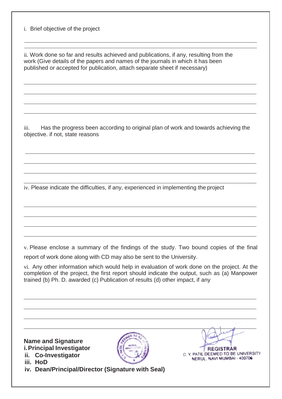i. Brief objective of the project

ii. Work done so far and results achieved and publications, if any, resulting from the work (Give details of the papers and names of the journals in which it has been published or accepted for publication, attach separate sheet if necessary)

iii. Has the progress been according to original plan of work and towards achieving the objective. if not, state reasons

iv. Please indicate the difficulties, if any, experienced in implementing the project

v. Please enclose a summary of the findings of the study. Two bound copies of the final report of work done along with CD may also be sent to the University.

vi. Any other information which would help in evaluation of work done on the project. At the completion of the project, the first report should indicate the output, such as (a) Manpower trained (b) Ph. D. awarded (c) Publication of results (d) other impact, if any

**Name and Signature i.Principal Investigator ii. Co-Investigator iii. HoD iv. Dean/Principal/Director (Signature with Seal)**



**REGISTRAR** D. Y. PATIL DEEMED TO BE UNIVERSITY NERUL, NAVI MUMBAI - 400706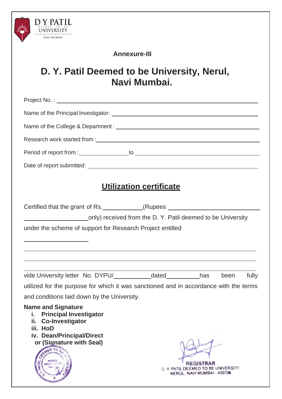| $\sum_{P} \sum_{P} \sum_{P} \sum_{P} \prod_{P}$<br><b>UNIVERSITY</b><br>NAVI MUMBAI                                                                                                                                                                                       |  |  |  |  |  |
|---------------------------------------------------------------------------------------------------------------------------------------------------------------------------------------------------------------------------------------------------------------------------|--|--|--|--|--|
| <b>Annexure-III</b>                                                                                                                                                                                                                                                       |  |  |  |  |  |
| D. Y. Patil Deemed to be University, Nerul,<br>Navi Mumbai.                                                                                                                                                                                                               |  |  |  |  |  |
|                                                                                                                                                                                                                                                                           |  |  |  |  |  |
|                                                                                                                                                                                                                                                                           |  |  |  |  |  |
|                                                                                                                                                                                                                                                                           |  |  |  |  |  |
|                                                                                                                                                                                                                                                                           |  |  |  |  |  |
|                                                                                                                                                                                                                                                                           |  |  |  |  |  |
|                                                                                                                                                                                                                                                                           |  |  |  |  |  |
| Utilization certificate<br>Certified that the grant of Rs. _____________(Rupees ___________________________<br>only) received from the D.Y. Patil deemed to be University<br>under the scheme of support for Research Project entitled                                    |  |  |  |  |  |
| fully<br>has<br>been<br>utilized for the purpose for which it was sanctioned and in accordance with the terms                                                                                                                                                             |  |  |  |  |  |
| and conditions laid down by the University.                                                                                                                                                                                                                               |  |  |  |  |  |
| <b>Name and Signature</b><br><b>Principal Investigator</b><br>i.<br><b>Co-Investigator</b><br>ii.<br>iii. HoD<br>iv. Dean/Principal/Direct<br>or (Signature with Seal)<br>en To<br><b>REGISTRAR</b><br>D. Y. PATIL DEEMED TO BE UNIVERSITY<br>NERUL, NAVI MUMBAI - 400706 |  |  |  |  |  |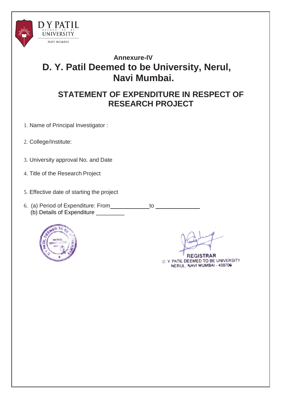

## **Annexure-IV D. Y. Patil Deemed to be University, Nerul, Navi Mumbai.**

## **STATEMENT OF EXPENDITURE IN RESPECT OF RESEARCH PROJECT**

- 1. Name of Principal Investigator :
- 2. College/Institute:
- 3. University approval No. and Date
- 4. Title of the Research Project
- 5. Effective date of starting the project
- 6. (a) Period of Expenditure: From \_\_\_\_\_\_\_\_\_\_\_\_\_\_\_ to \_\_\_\_\_\_ (b) Details of Expenditure \_\_\_\_\_\_\_\_



**REGISTRAR** D. Y. PATIL DEEMED TO BE UNIVERSITY NERUL, NAVI MUMBAI - 400706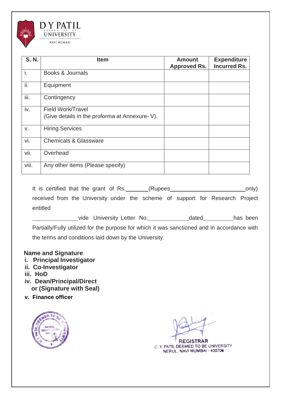

| <b>S. N.</b> | <b>Item</b>                                                               | <b>Amount</b><br><b>Approved Rs.</b> | <b>Expenditure</b><br><b>Incurred Rs.</b> |
|--------------|---------------------------------------------------------------------------|--------------------------------------|-------------------------------------------|
| i.           | Books & Journals                                                          |                                      |                                           |
| ii.          | Equipment                                                                 |                                      |                                           |
| iii.         | Contingency                                                               |                                      |                                           |
| iv.          | <b>Field Work/Travel</b><br>(Give details in the proforma at Annexure-V). |                                      |                                           |
| V.           | <b>Hiring Services</b>                                                    |                                      |                                           |
| vi.          | <b>Chemicals &amp; Glassware</b>                                          |                                      |                                           |
| vii.         | Overhead                                                                  |                                      |                                           |
| viii.        | Any other items (Please specify)                                          |                                      |                                           |

It is certified that the grant of Rs. \_\_\_\_\_\_(Rupees \_\_\_\_\_\_\_\_\_\_\_\_\_\_\_\_\_\_\_\_\_\_\_\_\_\_\_\_only) received from the University under the scheme of support for Research Project entitled

vide University Letter No. \_\_\_\_\_\_\_\_\_\_\_\_\_\_\_dated \_\_\_\_\_\_\_\_\_has been

Partially/Fully utilized for the purpose for which it was sanctioned and in accordance with the terms and conditions laid down by the University.

### **Name and Signature**

- **i. Principal Investigator**
- **ii. Co-Investigator**
- **iii. HoD**
- **iv. Dean/Principal/Direct or (Signature with Seal)**
- **v. Finance officer**



**REGISTRAR** D. Y. PATIL DEEMED TO BE UNIVERSITY NERUL, NAVI MUMBAI - 400706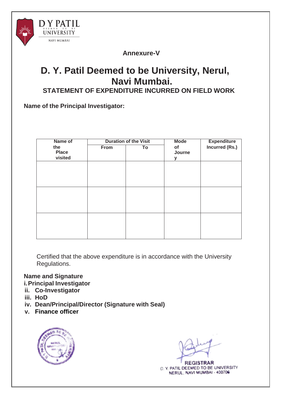

**Annexure-V**

# **D. Y. Patil Deemed to be University, Nerul, Navi Mumbai.**

**STATEMENT OF EXPENDITURE INCURRED ON FIELD WORK**

**Name of the Principal Investigator:**

| Name of             |      | <b>Duration of the Visit</b> | <b>Mode</b>  | <b>Expenditure</b> |
|---------------------|------|------------------------------|--------------|--------------------|
| the<br><b>Place</b> | From | To                           | of<br>Journe | Incurred (Rs.)     |
| visited             |      |                              | y            |                    |
|                     |      |                              |              |                    |
|                     |      |                              |              |                    |
|                     |      |                              |              |                    |
|                     |      |                              |              |                    |
|                     |      |                              |              |                    |
|                     |      |                              |              |                    |
|                     |      |                              |              |                    |
|                     |      |                              |              |                    |
|                     |      |                              |              |                    |

Certified that the above expenditure is in accordance with the University Regulations.

### **Name and Signature i.Principal Investigator**

- **ii. Co-Investigator**
- **iii. HoD**
- **iv. Dean/Principal/Director (Signature with Seal)**
- **v. Finance officer**



**REGISTRAR** D. Y. PATIL DEEMED TO BE UNIVERSITY NERUL, NAVI MUMBAI - 400706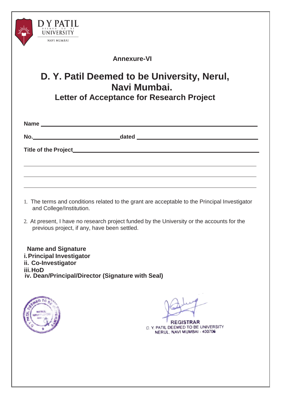

## **Annexure-VI**

# **D. Y. Patil Deemed to be University, Nerul, Navi Mumbai.**

**Letter of Acceptance for Research Project**

| <b>Name</b><br><u> 1989 - Johann Barn, mars et al. (b. 1989)</u> |  |
|------------------------------------------------------------------|--|
|                                                                  |  |
|                                                                  |  |
|                                                                  |  |
|                                                                  |  |
|                                                                  |  |

- 1. The terms and conditions related to the grant are acceptable to the Principal Investigator and College/Institution.
- 2. At present, I have no research project funded by the University or the accounts for the previous project, if any, have been settled.

 **Name and Signature i.Principal Investigator ii. Co-Investigator iii.HoD iv. Dean/Principal/Director (Signature with Seal)**



**REGISTRAR** D. Y. PATIL DEEMED TO BE UNIVERSITY NERUL, NAVI MUMBAI - 400706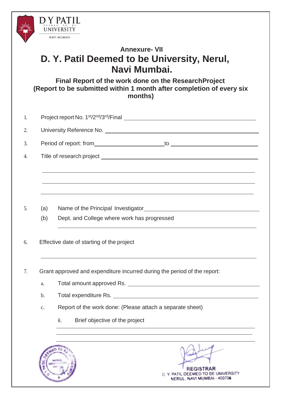|                | <b>NAVI MUMBAI</b><br><b>Annexure- VII</b><br>D. Y. Patil Deemed to be University, Nerul,<br>Navi Mumbai.<br>Final Report of the work done on the Research Project<br>(Report to be submitted within 1 month after completion of every six |
|----------------|--------------------------------------------------------------------------------------------------------------------------------------------------------------------------------------------------------------------------------------------|
|                | months)                                                                                                                                                                                                                                    |
|                |                                                                                                                                                                                                                                            |
|                |                                                                                                                                                                                                                                            |
|                |                                                                                                                                                                                                                                            |
|                |                                                                                                                                                                                                                                            |
| (b)            | Dept. and College where work has progressed<br>Effective date of starting of the project                                                                                                                                                   |
|                | Grant approved and expenditure incurred during the period of the report:                                                                                                                                                                   |
| a.             |                                                                                                                                                                                                                                            |
| $\mathbf{b}$ . |                                                                                                                                                                                                                                            |
| $C_{\bullet}$  | Report of the work done: (Please attach a separate sheet)                                                                                                                                                                                  |
|                | Brief objective of the project<br>ii.                                                                                                                                                                                                      |
|                |                                                                                                                                                                                                                                            |
|                | <b>REGISTRAR</b>                                                                                                                                                                                                                           |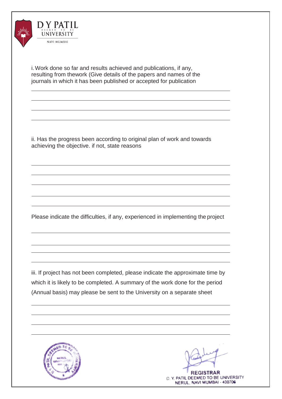

i.Work done so far and results achieved and publications, if any, resulting from thework (Give details of the papers and names of the journals in which it has been published or accepted for publication

ii. Has the progress been according to original plan of work and towards achieving the objective. if not, state reasons

Please indicate the difficulties, if any, experienced in implementing the project

iii. If project has not been completed, please indicate the approximate time by which it is likely to be completed. A summary of the work done for the period (Annual basis) may please be sent to the University on a separate sheet



**REGISTRAR** D. Y. PATIL DEEMED TO BE UNIVERSITY NERUL, NAVI MUMBAI - 400706